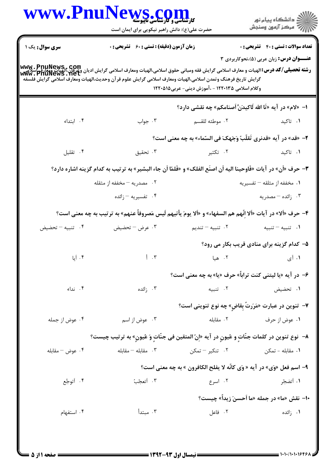|                            | www.PnuNews.com<br><b>کارشناسی و کارشناسی تاپیوسته</b><br>حضرت علی(ع): دانش راهبر نیکویی برای ایمان است                                                                                                                                                                                                                 |                                                                        | ڪ دانشڪاه پيا <sub>م</sub> نور<br><i>(7</i> مرڪز آزمون وسنڊش                                    |
|----------------------------|-------------------------------------------------------------------------------------------------------------------------------------------------------------------------------------------------------------------------------------------------------------------------------------------------------------------------|------------------------------------------------------------------------|-------------------------------------------------------------------------------------------------|
| <b>سری سوال :</b> یک ۱     | زمان آزمون (دقیقه) : تستی : 60 گشریحی : 0<br>www . PnuNews , Com<br>سلامی این بینایی این بینای و معارف اسلامی گرایش فقه ومبانی حقوق اسلامی،الهیات ومعارف اسلامی گرایش ادیان وای وی<br>Www . PnuNews . het<br>گرايش تاريخ فرهنگ وتمدن اسلامي،الهيات ومعارف اسلامي گرايش علوم قرآن وحديث،الهيات ومعارف اسلامي گرايش فلسفه | وکلام اسلامی ۱۲۲۰۱۳۵ - ،آموزش دینی- عربی۱۲۲۰۵۱۵                        | <b>تعداد سوالات : تستي : 40 - تشريحي : 0</b><br><b>عنـــوان درس:</b> زبان عربی (۵)،نحوکاربردی ۳ |
|                            |                                                                                                                                                                                                                                                                                                                         | ا–  «لام» در آيه «تَا الله لَاكيدَنَّ أصنامكم» چه نقشى دارد؟           |                                                                                                 |
| ۰۴ ابتداء                  | ۰۳ جواب                                                                                                                                                                                                                                                                                                                 | ٢.  موطئه للقسم                                                        | ۰۱ تاکید                                                                                        |
|                            |                                                                                                                                                                                                                                                                                                                         | ٢- «قد» در آيه «قدنري تَقلّبُ وَجَهكَ في السّماء» به چه معنى است؟      |                                                                                                 |
| ۰۴ تقلیل                   | ۰۳ تحقیق                                                                                                                                                                                                                                                                                                                | ۰۲ تکثیر                                                               | ۰۱ تاکید                                                                                        |
|                            | ٣- حرف «أن» در آيات «فَاوحينا اليه أن اصنَع الفلك» و «فَلمّا أن جاء البشير» به ترتيب به كدام گزينه اشاره دارد؟                                                                                                                                                                                                          |                                                                        |                                                                                                 |
|                            | ۰۲ مصدریه – مخففه از مثقله                                                                                                                                                                                                                                                                                              |                                                                        | ۰۱ مخففه از مثلقه – تفسیریه                                                                     |
|                            | ۰۴ تفسیریه – زائده                                                                                                                                                                                                                                                                                                      |                                                                        | ۰۳ زائده – مصدریه                                                                               |
|                            | ۴- حرف «ألا» در آيات «ألا إنّهم هم السفهاء» و «ألا يومَ يأتيهم لَيس مَصروفاً عنهم» به ترتيب به چه معنى است؟                                                                                                                                                                                                             |                                                                        |                                                                                                 |
| ۰۴ تنبیه – تحضیض           | ۰۳ عرض – تحضيض                                                                                                                                                                                                                                                                                                          | ۰۲ تنبیه <i>–</i> تندی <sub>م</sub>                                    | ٠١ تنبيه - تنبيه                                                                                |
|                            |                                                                                                                                                                                                                                                                                                                         |                                                                        | ۵– کدام گزینه برای منادی قریب بکار می رود؟                                                      |
| $\mathfrak{h}$ . آما       | $\uparrow$ $\cdot$ $\uparrow$                                                                                                                                                                                                                                                                                           | ۰۲ هيا                                                                 | ۰۱ آی                                                                                           |
|                            |                                                                                                                                                                                                                                                                                                                         | ۶- در آیه «یا لیتنی کنت تراباً» حرف «یا» به چه معنی است؟               |                                                                                                 |
| ۰۴ نداء                    | ۰۳ زائده                                                                                                                                                                                                                                                                                                                | ٢. تنبيه                                                               | ۰۱ تحضیض                                                                                        |
|                            |                                                                                                                                                                                                                                                                                                                         | ۷- تنوین در عبارت «مَرَرتٌ بِقاضِ» چه نوع تنوینی است؟                  |                                                                                                 |
| ۰۴ عوض از جمله             | ۰۳ عوض از اسم                                                                                                                                                                                                                                                                                                           | ۰۲ مقابله                                                              | ۰۱ عوض از حرف                                                                                   |
|                            | ٨–  نوع تنوين در كلمات جنّاتٍ و عُيونٍ در آيه «إِنّ المتقين في جنّاتٍ وَ عُيونٍ» به ترتيب چيست؟                                                                                                                                                                                                                         |                                                                        |                                                                                                 |
| ج عوض $-$ مقابله $\cdot$ ۴ | ىقابلە $-$ مقابلە . $\mathfrak{r}$                                                                                                                                                                                                                                                                                      |                                                                        |                                                                                                 |
|                            |                                                                                                                                                                                                                                                                                                                         | ۹- اسم فعل «وَي» در آيه « وَي كانّه لا يفلح الكافرون » به چه معنى است؟ |                                                                                                 |
| ۰۴ أتوجَّع                 | ۰۳ أتعجّبُ                                                                                                                                                                                                                                                                                                              | ۰۲ اسرع                                                                | ۰۱ أتضجّر                                                                                       |
|                            |                                                                                                                                                                                                                                                                                                                         |                                                                        | •ا– نقش «ما» در جمله «ما اَحسنَ زيداً» چيست؟                                                    |
| ۰۴ استفهام                 | ۰۳ مبتدأ                                                                                                                                                                                                                                                                                                                | ۰۲ فاعل                                                                | ۰۱ زائده                                                                                        |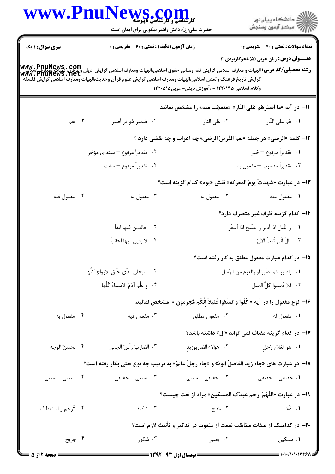|                        | www.PnuNews.com<br><b>کارشناسی و کارشناسی ناپیوسته</b>                                                                                                                                                                                                                     |                                                                                                      | ڪ دانشڪاه پيا <sub>م</sub> نور<br>ر <i>7</i> مرڪز آزمون وسنڊش |
|------------------------|----------------------------------------------------------------------------------------------------------------------------------------------------------------------------------------------------------------------------------------------------------------------------|------------------------------------------------------------------------------------------------------|---------------------------------------------------------------|
|                        | حضرت علی(ع): دانش راهبر نیکویی برای ایمان است                                                                                                                                                                                                                              |                                                                                                      |                                                               |
| <b>سری سوال : ۱ یک</b> | <b>زمان آزمون (دقیقه) : تستی : 60 ٪ تشریحی : 0</b>                                                                                                                                                                                                                         |                                                                                                      | <b>تعداد سوالات : تستي : 40 قشريحي : 0</b>                    |
|                        | www . PnuNews , Com<br>سلامی کلو اور استان الهیات و معارف اسلامی گرایش فقه ومبانی حقوق اسلامی،الهیات ومعارف اسلامی گرایش ادیان واقع ا<br>Www . PnuNews . het<br>گرايش تاريخ فرهنگ وتمدن اسلامي،الهيات ومعارف اسلامي گرايش علوم قرآن وحديث،الهيات ومعارف اسلامي گرايش فلسفه | وکلام اسلامی ۱۲۲۰۱۳۵ - ،آموزش دینی- عربی۱۲۲۰۵۱۵                                                      | <b>عنـــوان درس:</b> زبان عربی (۵)،نحوکاربردی ۳               |
|                        |                                                                                                                                                                                                                                                                            | 11- در آيه «ما أصبَرهُم عَلى النَّار» «متعجّب منه» را مشخص نمائيد.                                   |                                                               |
| ۰۴ هم $\cdot$          | ۰۳ ضمیر هُو در اَصبر                                                                                                                                                                                                                                                       | ۰۲ عَلى النار                                                                                        | ٠١. هُم على النّار                                            |
|                        |                                                                                                                                                                                                                                                                            | 12- كلمه «الرضي» در جمله «نعمَ القَرينُ الرضي» چه اعراب و چه نقشى دارد ؟                             |                                                               |
|                        | ۲.   تقديراً مرفوع – مبتداي مؤخر                                                                                                                                                                                                                                           |                                                                                                      | ٠١. تقديراً مرفوع – خبر                                       |
|                        | ۰۴ تقديراً مرفوع – صفت                                                                                                                                                                                                                                                     |                                                                                                      | ۰۳ تقديراً منصوب – مفعول به                                   |
|                        |                                                                                                                                                                                                                                                                            |                                                                                                      | 1۳– در عبارت «شهدتٌ یومَ المعركه» نقش «یوم» كدام گزینه است؟   |
| ۰۴ مفعول فيه           | ۰۳ مفعول له                                                                                                                                                                                                                                                                | ۰۲ مفعول به                                                                                          | ۰۱ مفعول معه                                                  |
|                        |                                                                                                                                                                                                                                                                            |                                                                                                      | ۱۴– کدام گزینه ظرف غیر متصرف دارد؟                            |
|                        | ۰۲ خالدین فیها ابداً                                                                                                                                                                                                                                                       |                                                                                                      | ٠١. وَ اللَّيلِ اذا أدبرِ وَ الصُّبحِ اذا أسفَرِ              |
|                        | ۴ . لا بثين فيها اَحقاباً                                                                                                                                                                                                                                                  |                                                                                                      | ۰۳ قالَ إِنِّي تُبتُ الآنَ                                    |
|                        |                                                                                                                                                                                                                                                                            |                                                                                                      | ۱۵– در کدام عبارت مفعول مطلق به کار رفته است؟                 |
|                        | ٢. سبحانَ الذّي خَلَقَ الازواجَ كلَّها                                                                                                                                                                                                                                     |                                                                                                      | ٠١. واصبر كما صَبَرَ اولوالعزم مِن الرُّسلِ                   |
|                        | ۴. وعَلَّم آدَمَ الاسماءَ كُلَّها                                                                                                                                                                                                                                          |                                                                                                      | ٣. فلا تَميلوا كلَّ الميل                                     |
|                        |                                                                                                                                                                                                                                                                            | ۱۶-  نوع مفعول را در آیه « کُلُوا و تَمتَعُوا قَلیلاً انَّکُم مُجرمون »  مشخص نمائید.                |                                                               |
| ۰۴ مفعول به            | ۰۳ مفعول فيه                                                                                                                                                                                                                                                               | ۰۲ مفعول مطلق                                                                                        | ۰۱ مفعول له                                                   |
|                        |                                                                                                                                                                                                                                                                            |                                                                                                      | ۱۷– در کدام گزینه مضاف نمی تواند «ال» داشته باشد؟             |
| ۰۴ الحسنُ الوجهِ       | ٠٣ الضاربُ رأسَ الجاني                                                                                                                                                                                                                                                     |                                                                                                      |                                                               |
|                        | ۱۸−  در عبارت های «جاء زید الفاضلُ ابوهُ» و «جاء رجلٌ عالمٌ» به ترتیب چه نوع نعتی بکار رفته است؟                                                                                                                                                                           |                                                                                                      |                                                               |
| ۰۴ سببی – سببی         | ۰۳ سببی – حقیقی                                                                                                                                                                                                                                                            | ۰۲ حقیقی – سببی                                                                                      | ۰۱ حقیقی <sup>–</sup> حقیقی                                   |
|                        |                                                                                                                                                                                                                                                                            | ۱۹- در عبارت «اللّهُمَّ ارحم عبدَک المسکین» مراد از نعت چیست؟                                        |                                                               |
| ۰۴ تَرحم واستعطاف      | ۰۳ تاکید                                                                                                                                                                                                                                                                   | ١. ذَمّ من اللَّهُ عَلَيْهِ مَسْرَحٍ مِنْ اللَّهِ مَسْرَحٍ مِنْ اللَّهِ مِنْ اللَّهِ مِنْ اللَّهِ مَ |                                                               |
|                        |                                                                                                                                                                                                                                                                            | +۲- در کدامیک از صفات مطابقت نعمت از منعوت در تذکیر و تأنیث لازم است؟                                |                                                               |
| ۰۴ جريح                | ۰۳ شکور                                                                                                                                                                                                                                                                    | ۰۲ بصیر                                                                                              | ۰۱ مسکین                                                      |
| = صفحه 2 از 5          |                                                                                                                                                                                                                                                                            |                                                                                                      | $=$ $\frac{1}{111}$ $\frac{1}{111}$                           |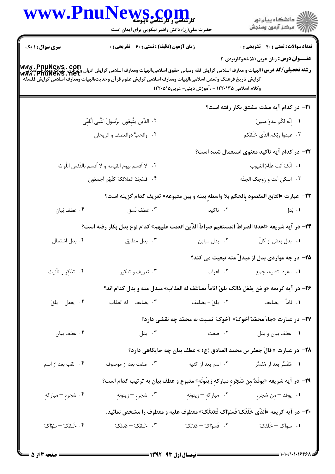|                        | WWW.PnuNews.com<br>حضرت علی(ع): دانش راهبر نیکویی برای ایمان است                                            |                                                                       | ِ دانشڪاه پيا <sub>م</sub> نور<br>/∕ مرڪز آزمون وسنڊش                                                                                                                                                                          |
|------------------------|-------------------------------------------------------------------------------------------------------------|-----------------------------------------------------------------------|--------------------------------------------------------------------------------------------------------------------------------------------------------------------------------------------------------------------------------|
| <b>سری سوال : ۱ یک</b> | <b>زمان آزمون (دقیقه) : تستی : 60 ٪ تشریحی : 0</b>                                                          |                                                                       | <b>تعداد سوالات : تستی : 40 - تشریحی : 0</b>                                                                                                                                                                                   |
|                        | گرايش تاريخ فرهنگ وتمدن اسلامي،الهيات ومعارف اسلامي گرايش علوم قر آن وحديث،الهيات ومعارف اسلامي گرايش فلسفه | وکلام اسلامی ۱۲۲۰۱۳۵ - ،آموزش دینی- عربی۱۲۲۰۵۱۵                       | <b>عنـــوان درس:</b> زبان عربی (۵)،نحوکاربردی ۳<br> www . PnuNews , com<br>  <b>رشته تحصیلی/کد درس:</b> الهیات و معارف اسلامی گرایش فقه ومبانی حقوق اسلامی،الهیات ومعارف اسلامی گرایش و علی این اسلام<br>  www . PnuNews . net |
|                        |                                                                                                             |                                                                       | <b>۲۱</b> - در کدام آیه صفت مشتق بکار رفته است؟                                                                                                                                                                                |
|                        | ٢. الذّين يتَّبِعُون الرَّسولَ النَّبى الُامِّى                                                             |                                                                       | ١. [نّه لكُم عدوٌ مبينٌ                                                                                                                                                                                                        |
|                        | ۴. والحبُّ ذوالعصف و الريحان                                                                                |                                                                       | ۰۳ اعبدوا ربّكم الذّى خَلَقكم                                                                                                                                                                                                  |
|                        |                                                                                                             |                                                                       | <b>۲۲</b> – در کدام آیه تاکید معنوی استعمال شده است؟                                                                                                                                                                           |
|                        | ٢ . - لا أقسم بيومِ القيامهِ و لا أقسم بالنّفسِ اللَّوامَهِ                                                 |                                                                       | ٠١. إِنَّكَ أَنتَ علَّامُ الغيوب                                                                                                                                                                                               |
|                        | ۴. فَسَجَدَ الملائكةُ كلَّهُم أجمعُون                                                                       |                                                                       | ۰۳ اسکن اَنت و زوجک الجنّه                                                                                                                                                                                                     |
|                        |                                                                                                             |                                                                       | ٢٣-  عبارت «التابع المقصود بِالحكم بلا واسطهٍ بينه و بين متبوعه» تعريف كدام گزينه است؟                                                                                                                                         |
| ۰۴ عطف بَيان           | ۰۳ عطف نَسق                                                                                                 | ۰۲ تاکید                                                              | ۰۱ بَدل                                                                                                                                                                                                                        |
|                        |                                                                                                             |                                                                       | ٢۴– در آيه شريفه «اهدنا الصراطَ المستقيم صراطَ الذّين انعمت عليهم» كدام نوع بدل بكار رفته است؟                                                                                                                                 |
| ۰۴ بدل اشتمال          | ۰۳ بدل مطابق                                                                                                | ۰۲ بدل مباین                                                          | ٠١ بدل بعض از كلّ                                                                                                                                                                                                              |
|                        |                                                                                                             |                                                                       | ۲۵– در چه مواردی بدل از مبدلٌ منه تبعیت می کند؟                                                                                                                                                                                |
| ۰۴ تذکر و تأنیث        | ۰۳ تعریف و تنکیر                                                                                            |                                                                       | ۰۱ مفرد، تثنیه، جمع مسلم ۲۰ اعراب                                                                                                                                                                                              |
|                        |                                                                                                             |                                                                       | 26- در آيه كريمه «و مَن يفعَل ذالك يلقَ اثاماً يضاعَف له العذاب» مبدل منه و بدل كدام اند؟                                                                                                                                      |
| ۰۴ يفعل - يلقَ         | ۰۳ يضاعف – له العذاب                                                                                        |                                                                       |                                                                                                                                                                                                                                |
|                        |                                                                                                             |                                                                       | <b>۲۷</b> - در عبارت «جاءَ محمّدٌ اَخوکَ» اَخوکَ نسبت به محمّد چه نقشی دارد؟                                                                                                                                                   |
| ۰۴ عطف بيان            |                                                                                                             | ۲. صفت مسلم ۲. بدل                                                    | ٠١ عطف بيان و بدل                                                                                                                                                                                                              |
|                        |                                                                                                             |                                                                       | ـ18−  در عبارت « قالَ جعفر بن محمد الصادق (ع) » عطف بيان چه جايگاهي دارد؟                                                                                                                                                      |
| ۰۴ لقب بعد از اسم      | ۰۳ صفت بعد از موصوف                                                                                         | ۲. اسم بعد از کنیه                                                    | ۰۱ مُفَسِّر بعد از مُفَسَّر                                                                                                                                                                                                    |
|                        |                                                                                                             |                                                                       | ۲۹− در آیه شریفه «یوقَدُ مِن شَجَرهٍ مبارکهٍ زیتُونَهٍ» متبوع و عطف بیان به ترتیب کدام است؟                                                                                                                                    |
| ۰۴ شجرهٍ – مباركهٍ     |                                                                                                             | ٠١ يوقَد –مِن شجرهٍ مسمع ٢٠ مباركهٍ – زيتونهٍ مسمع ٣٠ شجرهٍ – زيتونهٍ |                                                                                                                                                                                                                                |
|                        |                                                                                                             |                                                                       | ۳۰– در آیه کریمه «اَلذّی خَلَقَکَ فَسَوّاک فَعَدَلَکَ» معطوف علیه و معطوف را مشخص نمائید.                                                                                                                                      |
| ۰۴ خَلقکَ – سَوّاکَ    | ۰۳ خَلقکَ - عَدلکَ                                                                                          | ٢. فَسوّاكَ – عَدَلكَ                                                 | ۰۱ سواک – خَلقکَ                                                                                                                                                                                                               |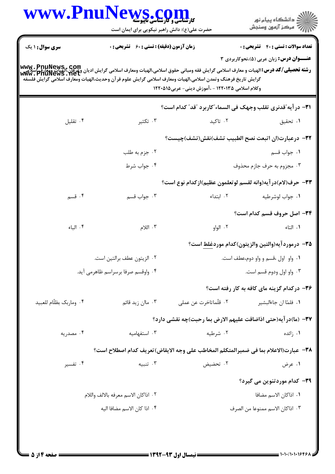|                         | www.PnuNews.co<br><b>کارشناسی و کارشناسی تاپیوسته</b><br>حضرت علی(ع): دانش راهبر نیکویی برای ایمان است                                                                                                                                                                                                                                      |                                                               | ڪ دانشڪاه پيا <sub>م</sub> نور<br>۾ سرڪز آزمون وسنڊش                                            |
|-------------------------|---------------------------------------------------------------------------------------------------------------------------------------------------------------------------------------------------------------------------------------------------------------------------------------------------------------------------------------------|---------------------------------------------------------------|-------------------------------------------------------------------------------------------------|
| <b>سری سوال : ۱ یک</b>  | <b>زمان آزمون (دقیقه) : تستی : 60 ٪ تشریحی : 0</b><br> www . PnuNews , com<br> و <b>شته تحصیلی/کد درس:</b> الهیات و معارف اسلامی گرایش فقه ومبانی حقوق اسلامی،الهیات ومعارف اسلامی گرایش ادیان وعوارت<br> www . PnuNewS . Net<br>گرايش تاريخ فرهنگ وتمدن اسلامي،الهيات ومعارف اسلامي گرايش علوم قرآن وحديث،الهيات ومعارف اسلامي گرايش فلسفه | وکلام اسلامی ۱۲۲۰۱۳۵ - ،آموزش دینی- عربی۱۲۲۰۵۱۵               | <b>تعداد سوالات : تستي : 40 - تشريحي : 0</b><br><b>عنـــوان درس:</b> زبان عربی (۵)،نحوکاربردی ۳ |
|                         |                                                                                                                                                                                                                                                                                                                                             | ٣١- در آيه ؒقدنري تقلب وجهک في السماء ؒکاربرد ؒقد ؒ کدام است؟ |                                                                                                 |
| ۰۴ تقلیل                | ۰۳ تکثیر                                                                                                                                                                                                                                                                                                                                    | ۰۲ تاکید                                                      | ۰۱ تحقیق                                                                                        |
|                         |                                                                                                                                                                                                                                                                                                                                             | ٣٢– درعبارت(ان اتبعت نصح الطبيب تشف)نقش(تشف)چيست؟             |                                                                                                 |
|                         | ۰۲ جزم به طلب                                                                                                                                                                                                                                                                                                                               |                                                               | ٠١ جواب قسم                                                                                     |
|                         | ۰۴ جواب شرط                                                                                                                                                                                                                                                                                                                                 |                                                               | ۰۳ مجزوم به حرف جازم محذوف                                                                      |
|                         |                                                                                                                                                                                                                                                                                                                                             | ٣٣– حرف(لام)در آيه(وانه لقسم لوتعلمون عظيم)ازكدام نوع است؟    |                                                                                                 |
| ۰۴ قسم                  | ۰۳ جواب قسم                                                                                                                                                                                                                                                                                                                                 | ۰۲ ابتداء                                                     | ٠١ جواب لوشرطيه                                                                                 |
|                         |                                                                                                                                                                                                                                                                                                                                             |                                                               | ٣۴- اصل حروف قسم كدام است؟                                                                      |
| ۰۴ الباء                | $\cdot$ اللام                                                                                                                                                                                                                                                                                                                               | ۰۲ الواو                                                      | ۰۱ التاء                                                                                        |
|                         |                                                                                                                                                                                                                                                                                                                                             |                                                               | ۳۵– درموردآیه(والتین والزیتون)کدام مورد <u>غلط</u> است؟                                         |
|                         | ٠٢ الزيتون عطف برالتين است.                                                                                                                                                                                                                                                                                                                 |                                                               | ۰۱ واو اول ،قسم و واو دوم،عطف است.                                                              |
|                         | ۰۴ واوقسم صرفا برسراسم ظاهرمي آيد.                                                                                                                                                                                                                                                                                                          |                                                               | ۰۳ واو اول ودوم قسم است.                                                                        |
|                         |                                                                                                                                                                                                                                                                                                                                             |                                                               | ۳۶- درکدام گزینه مای کافه به کار رفته است؟                                                      |
| ۰۴ وماربک بظلّام للعبيد | ۰۳ ماان زید قائم                                                                                                                                                                                                                                                                                                                            | ٠٢ قلّماتاخرت عن عملي                                         | ٠١. فلمّا ان جاءالبشير                                                                          |
|                         |                                                                                                                                                                                                                                                                                                                                             | ٣٧– (ما)درآيه(حتى اذاضاقت عليهم الارض بما رحبت)چه نقشى دارد؟  |                                                                                                 |
| ۰۴ مصدریه               | ۰۳ استفهامیه                                                                                                                                                                                                                                                                                                                                | ۰۲ شرطیه                                                      | ۰۱ زائده                                                                                        |
|                         | ٣٨- عبارت(الاعلام بما في ضميرالمتكلم المخاطب على وجه الايقاض)تعريف كدام اصطلاح است؟                                                                                                                                                                                                                                                         |                                                               |                                                                                                 |
| ۰۴ تفسیر                | ۰۳ تنبیه                                                                                                                                                                                                                                                                                                                                    | ۰۲ تحضیض                                                      | ۰۱ عرض                                                                                          |
|                         |                                                                                                                                                                                                                                                                                                                                             |                                                               | ۳۹– کدام موردتنوین می گیرد؟                                                                     |
|                         | ٠٢ اذاكان الاسم معرفه بالالف واللام                                                                                                                                                                                                                                                                                                         |                                                               | ٠١. اذاكان الاسم مضافا                                                                          |
|                         | ۰۴ اذا كان الاسم مضافا اليه                                                                                                                                                                                                                                                                                                                 |                                                               | ٠٣ اذاكان الاسم ممنوعا من الصرف                                                                 |